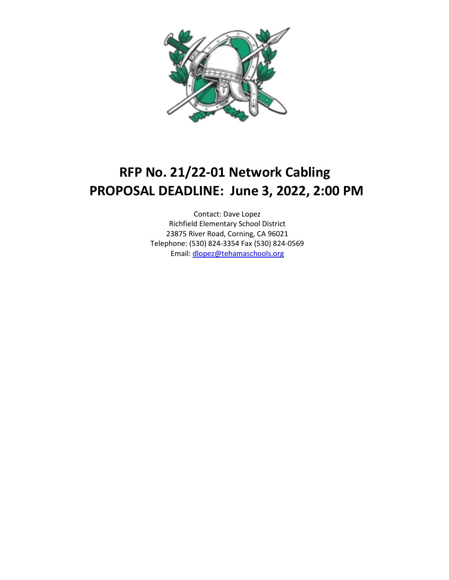

# **RFP No. 21/22-01 Network Cabling PROPOSAL DEADLINE: June 3, 2022, 2:00 PM**

Contact: Dave Lopez Richfield Elementary School District 23875 River Road, Corning, CA 96021 Telephone: (530) 824-3354 Fax (530) 824-0569 Email[: dlopez@tehamaschools.org](mailto:dlopez@tehamaschools.org)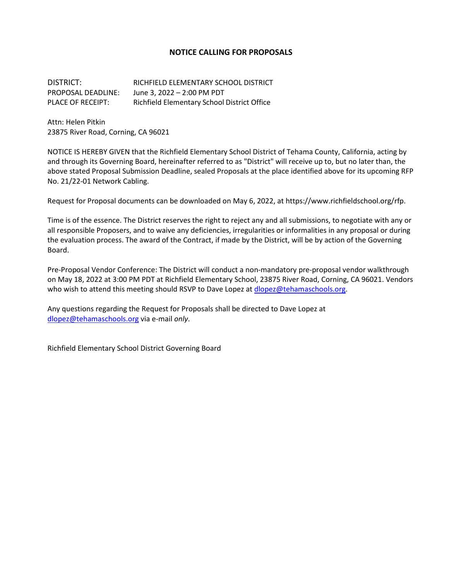### **NOTICE CALLING FOR PROPOSALS**

DISTRICT: RICHFIELD ELEMENTARY SCHOOL DISTRICT PROPOSAL DEADLINE: June 3, 2022 – 2:00 PM PDT PLACE OF RECEIPT: Richfield Elementary School District Office

Attn: Helen Pitkin 23875 River Road, Corning, CA 96021

NOTICE IS HEREBY GIVEN that the Richfield Elementary School District of Tehama County, California, acting by and through its Governing Board, hereinafter referred to as "District" will receive up to, but no later than, the above stated Proposal Submission Deadline, sealed Proposals at the place identified above for its upcoming RFP No. 21/22-01 Network Cabling.

Request for Proposal documents can be downloaded on May 6, 2022, at https://www.richfieldschool.org/rfp.

Time is of the essence. The District reserves the right to reject any and all submissions, to negotiate with any or all responsible Proposers, and to waive any deficiencies, irregularities or informalities in any proposal or during the evaluation process. The award of the Contract, if made by the District, will be by action of the Governing Board.

Pre-Proposal Vendor Conference: The District will conduct a non-mandatory pre-proposal vendor walkthrough on May 18, 2022 at 3:00 PM PDT at Richfield Elementary School, 23875 River Road, Corning, CA 96021. Vendors who wish to attend this meeting should RSVP to Dave Lopez at [dlopez@tehamaschools.org.](mailto:dlopez@tehamaschools.org)

Any questions regarding the Request for Proposals shall be directed to Dave Lopez at [dlopez@tehamaschools.org](mailto:dlopez@tehamaschools.org) via e-mail *only*.

Richfield Elementary School District Governing Board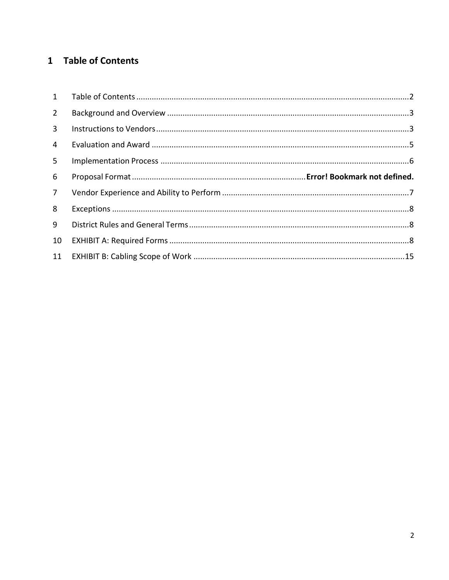## <span id="page-2-0"></span>1 Table of Contents

| $2^{\circ}$  |  |
|--------------|--|
| $\mathbf{3}$ |  |
| 4            |  |
| 5            |  |
| 6            |  |
| $7^{\circ}$  |  |
| 8            |  |
| 9            |  |
| 10           |  |
|              |  |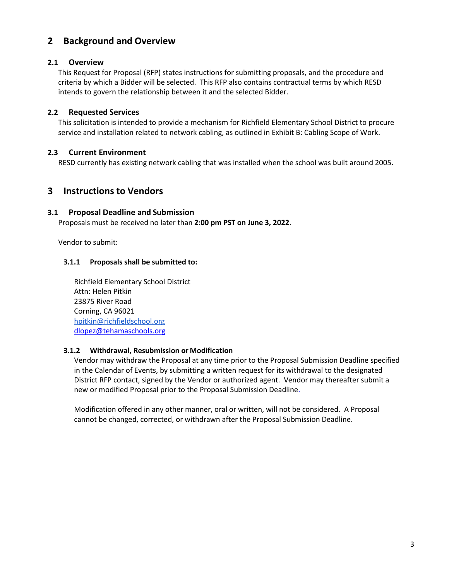### <span id="page-3-0"></span>**2 Background and Overview**

### **2.1 Overview**

This Request for Proposal (RFP) states instructions for submitting proposals, and the procedure and criteria by which a Bidder will be selected. This RFP also contains contractual terms by which RESD intends to govern the relationship between it and the selected Bidder.

### **2.2 Requested Services**

This solicitation is intended to provide a mechanism for Richfield Elementary School District to procure service and installation related to network cabling, as outlined in Exhibit B: Cabling Scope of Work.

### **2.3 Current Environment**

RESD currently has existing network cabling that was installed when the school was built around 2005.

### <span id="page-3-1"></span>**3 Instructions to Vendors**

### **3.1 Proposal Deadline and Submission**

Proposals must be received no later than **2:00 pm PST on June 3, 2022**.

Vendor to submit:

### **3.1.1 Proposals shall be submitted to:**

Richfield Elementary School District Attn: Helen Pitkin 23875 River Road Corning, CA 96021 [hpitkin@richfieldschool.org](mailto:hpitkin@richfieldschool.org) [dlopez@tehamaschools.org](mailto:dlopez@tehamaschools.org)

### **3.1.2 Withdrawal, Resubmission or Modification**

Vendor may withdraw the Proposal at any time prior to the Proposal Submission Deadline specified in the Calendar of Events, by submitting a written request for its withdrawal to the designated District RFP contact, signed by the Vendor or authorized agent. Vendor may thereafter submit a new or modified Proposal prior to the Proposal Submission Deadline.

Modification offered in any other manner, oral or written, will not be considered. A Proposal cannot be changed, corrected, or withdrawn after the Proposal Submission Deadline.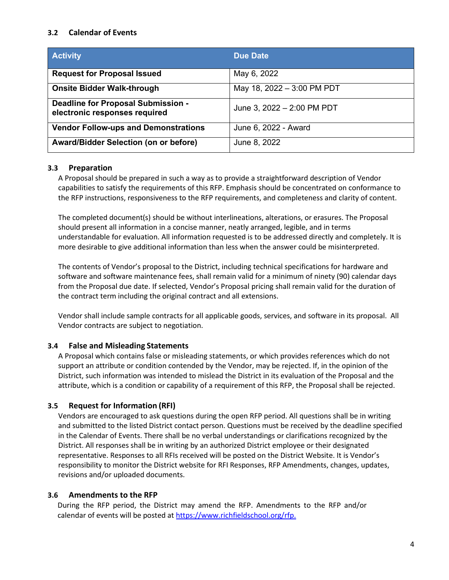### **3.2 Calendar of Events**

| <b>Activity</b>                                                     | <b>Due Date</b>            |
|---------------------------------------------------------------------|----------------------------|
| <b>Request for Proposal Issued</b>                                  | May 6, 2022                |
| <b>Onsite Bidder Walk-through</b>                                   | May 18, 2022 - 3:00 PM PDT |
| Deadline for Proposal Submission -<br>electronic responses required | June 3, 2022 - 2:00 PM PDT |
| <b>Vendor Follow-ups and Demonstrations</b>                         | June 6, 2022 - Award       |
| Award/Bidder Selection (on or before)                               | June 8, 2022               |

### **3.3 Preparation**

A Proposal should be prepared in such a way as to provide a straightforward description of Vendor capabilities to satisfy the requirements of this RFP. Emphasis should be concentrated on conformance to the RFP instructions, responsiveness to the RFP requirements, and completeness and clarity of content.

The completed document(s) should be without interlineations, alterations, or erasures. The Proposal should present all information in a concise manner, neatly arranged, legible, and in terms understandable for evaluation. All information requested is to be addressed directly and completely. It is more desirable to give additional information than less when the answer could be misinterpreted.

The contents of Vendor's proposal to the District, including technical specifications for hardware and software and software maintenance fees, shall remain valid for a minimum of ninety (90) calendar days from the Proposal due date. If selected, Vendor's Proposal pricing shall remain valid for the duration of the contract term including the original contract and all extensions.

Vendor shall include sample contracts for all applicable goods, services, and software in its proposal. All Vendor contracts are subject to negotiation.

### **3.4 False and Misleading Statements**

A Proposal which contains false or misleading statements, or which provides references which do not support an attribute or condition contended by the Vendor, may be rejected. If, in the opinion of the District, such information was intended to mislead the District in its evaluation of the Proposal and the attribute, which is a condition or capability of a requirement of this RFP, the Proposal shall be rejected.

### **3.5 Request for Information (RFI)**

Vendors are encouraged to ask questions during the open RFP period. All questions shall be in writing and submitted to the listed District contact person. Questions must be received by the deadline specified in the Calendar of Events. There shall be no verbal understandings or clarifications recognized by the District. All responses shall be in writing by an authorized District employee or their designated representative. Responses to all RFIs received will be posted on the District Website. It is Vendor's responsibility to monitor the District website for RFI Responses, RFP Amendments, changes, updates, revisions and/or uploaded documents.

### **3.6 Amendments to the RFP**

During the RFP period, the District may amend the RFP. Amendments to the RFP and/or calendar of events will be posted at [https://www.richfieldschool.org/rfp.](https://www.richfieldschool.org/rfp)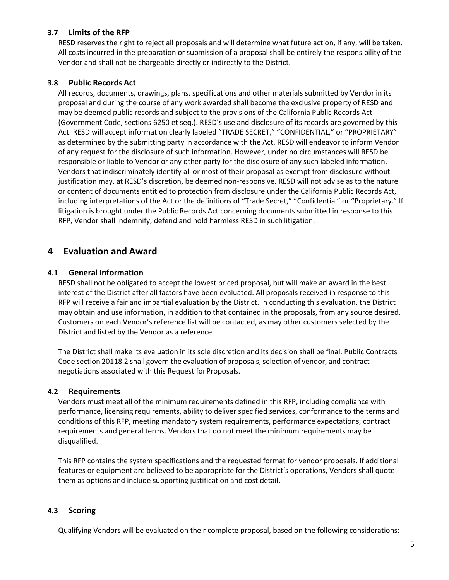### **3.7 Limits of the RFP**

RESD reserves the right to reject all proposals and will determine what future action, if any, will be taken. All costs incurred in the preparation or submission of a proposal shall be entirely the responsibility of the Vendor and shall not be chargeable directly or indirectly to the District.

### **3.8 Public Records Act**

All records, documents, drawings, plans, specifications and other materials submitted by Vendor in its proposal and during the course of any work awarded shall become the exclusive property of RESD and may be deemed public records and subject to the provisions of the California Public Records Act (Government Code, sections 6250 et seq.). RESD's use and disclosure of its records are governed by this Act. RESD will accept information clearly labeled "TRADE SECRET," "CONFIDENTIAL," or "PROPRIETARY" as determined by the submitting party in accordance with the Act. RESD will endeavor to inform Vendor of any request for the disclosure of such information. However, under no circumstances will RESD be responsible or liable to Vendor or any other party for the disclosure of any such labeled information. Vendors that indiscriminately identify all or most of their proposal as exempt from disclosure without justification may, at RESD's discretion, be deemed non-responsive. RESD will not advise as to the nature or content of documents entitled to protection from disclosure under the California Public Records Act, including interpretations of the Act or the definitions of "Trade Secret," "Confidential" or "Proprietary." If litigation is brought under the Public Records Act concerning documents submitted in response to this RFP, Vendor shall indemnify, defend and hold harmless RESD in such litigation.

### <span id="page-5-0"></span>**4 Evaluation and Award**

### **4.1 General Information**

RESD shall not be obligated to accept the lowest priced proposal, but will make an award in the best interest of the District after all factors have been evaluated. All proposals received in response to this RFP will receive a fair and impartial evaluation by the District. In conducting this evaluation, the District may obtain and use information, in addition to that contained in the proposals, from any source desired. Customers on each Vendor's reference list will be contacted, as may other customers selected by the District and listed by the Vendor as a reference.

The District shall make its evaluation in its sole discretion and its decision shall be final. Public Contracts Code section 20118.2 shall govern the evaluation of proposals, selection of vendor, and contract negotiations associated with this Request for Proposals.

### **4.2 Requirements**

Vendors must meet all of the minimum requirements defined in this RFP, including compliance with performance, licensing requirements, ability to deliver specified services, conformance to the terms and conditions of this RFP, meeting mandatory system requirements, performance expectations, contract requirements and general terms. Vendors that do not meet the minimum requirements may be disqualified.

This RFP contains the system specifications and the requested format for vendor proposals. If additional features or equipment are believed to be appropriate for the District's operations, Vendors shall quote them as options and include supporting justification and cost detail.

### **4.3 Scoring**

Qualifying Vendors will be evaluated on their complete proposal, based on the following considerations: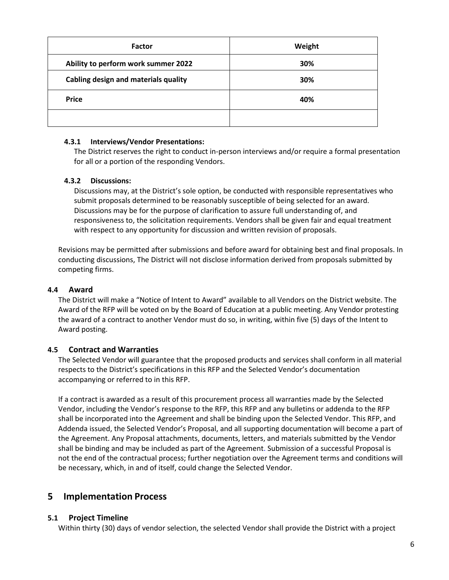| <b>Factor</b>                        | Weight |
|--------------------------------------|--------|
| Ability to perform work summer 2022  | 30%    |
| Cabling design and materials quality | 30%    |
| <b>Price</b>                         | 40%    |
|                                      |        |

### **4.3.1 Interviews/Vendor Presentations:**

The District reserves the right to conduct in-person interviews and/or require a formal presentation for all or a portion of the responding Vendors.

### **4.3.2 Discussions:**

Discussions may, at the District's sole option, be conducted with responsible representatives who submit proposals determined to be reasonably susceptible of being selected for an award. Discussions may be for the purpose of clarification to assure full understanding of, and responsiveness to, the solicitation requirements. Vendors shall be given fair and equal treatment with respect to any opportunity for discussion and written revision of proposals.

Revisions may be permitted after submissions and before award for obtaining best and final proposals. In conducting discussions, The District will not disclose information derived from proposals submitted by competing firms.

### **4.4 Award**

The District will make a "Notice of Intent to Award" available to all Vendors on the District website. The Award of the RFP will be voted on by the Board of Education at a public meeting. Any Vendor protesting the award of a contract to another Vendor must do so, in writing, within five (5) days of the Intent to Award posting.

### **4.5 Contract and Warranties**

The Selected Vendor will guarantee that the proposed products and services shall conform in all material respects to the District's specifications in this RFP and the Selected Vendor's documentation accompanying or referred to in this RFP.

If a contract is awarded as a result of this procurement process all warranties made by the Selected Vendor, including the Vendor's response to the RFP, this RFP and any bulletins or addenda to the RFP shall be incorporated into the Agreement and shall be binding upon the Selected Vendor. This RFP, and Addenda issued, the Selected Vendor's Proposal, and all supporting documentation will become a part of the Agreement. Any Proposal attachments, documents, letters, and materials submitted by the Vendor shall be binding and may be included as part of the Agreement. Submission of a successful Proposal is not the end of the contractual process; further negotiation over the Agreement terms and conditions will be necessary, which, in and of itself, could change the Selected Vendor.

### <span id="page-6-0"></span>**5 Implementation Process**

### **5.1 Project Timeline**

Within thirty (30) days of vendor selection, the selected Vendor shall provide the District with a project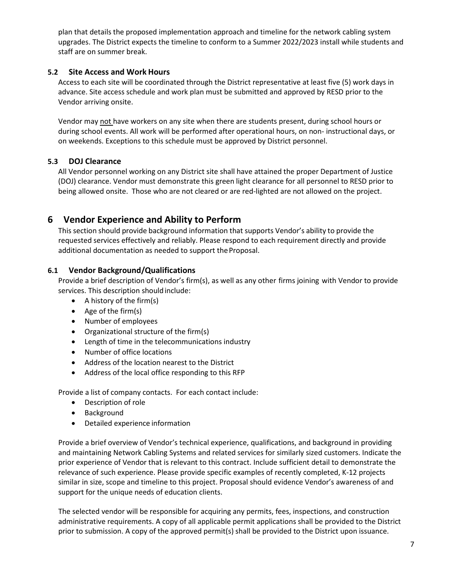plan that details the proposed implementation approach and timeline for the network cabling system upgrades. The District expects the timeline to conform to a Summer 2022/2023 install while students and staff are on summer break.

### **5.2 Site Access and Work Hours**

Access to each site will be coordinated through the District representative at least five (5) work days in advance. Site access schedule and work plan must be submitted and approved by RESD prior to the Vendor arriving onsite.

Vendor may not have workers on any site when there are students present, during school hours or during school events. All work will be performed after operational hours, on non- instructional days, or on weekends. Exceptions to this schedule must be approved by District personnel.

### **5.3 DOJ Clearance**

All Vendor personnel working on any District site shall have attained the proper Department of Justice (DOJ) clearance. Vendor must demonstrate this green light clearance for all personnel to RESD prior to being allowed onsite. Those who are not cleared or are red-lighted are not allowed on the project.

### <span id="page-7-0"></span>**6 Vendor Experience and Ability to Perform**

This section should provide background information that supports Vendor's ability to provide the requested services effectively and reliably. Please respond to each requirement directly and provide additional documentation as needed to support the Proposal.

### **6.1 Vendor Background/Qualifications**

Provide a brief description of Vendor's firm(s), as well as any other firms joining with Vendor to provide services. This description shouldinclude:

- A history of the firm(s)
- Age of the firm(s)
- Number of employees
- Organizational structure of the firm(s)
- Length of time in the telecommunications industry
- Number of office locations
- Address of the location nearest to the District
- Address of the local office responding to this RFP

Provide a list of company contacts. For each contact include:

- Description of role
- Background
- Detailed experience information

Provide a brief overview of Vendor's technical experience, qualifications, and background in providing and maintaining Network Cabling Systems and related services for similarly sized customers. Indicate the prior experience of Vendor that is relevant to this contract. Include sufficient detail to demonstrate the relevance of such experience. Please provide specific examples of recently completed, K-12 projects similar in size, scope and timeline to this project. Proposal should evidence Vendor's awareness of and support for the unique needs of education clients.

The selected vendor will be responsible for acquiring any permits, fees, inspections, and construction administrative requirements. A copy of all applicable permit applications shall be provided to the District prior to submission. A copy of the approved permit(s) shall be provided to the District upon issuance.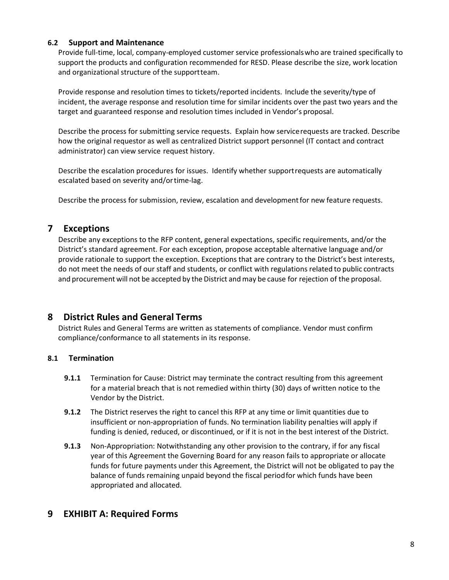### **6.2 Support and Maintenance**

Provide full-time, local, company-employed customer service professionalswho are trained specifically to support the products and configuration recommended for RESD. Please describe the size, work location and organizational structure of the supportteam.

Provide response and resolution times to tickets/reported incidents. Include the severity/type of incident, the average response and resolution time for similar incidents over the past two years and the target and guaranteed response and resolution times included in Vendor's proposal.

Describe the process for submitting service requests. Explain how servicerequests are tracked. Describe how the original requestor as well as centralized District support personnel (IT contact and contract administrator) can view service request history.

Describe the escalation procedures for issues. Identify whether supportrequests are automatically escalated based on severity and/ortime-lag.

Describe the process for submission, review, escalation and developmentfor new feature requests.

### <span id="page-8-0"></span>**7 Exceptions**

Describe any exceptions to the RFP content, general expectations, specific requirements, and/or the District's standard agreement. For each exception, propose acceptable alternative language and/or provide rationale to support the exception. Exceptions that are contrary to the District's best interests, do not meet the needs of our staff and students, or conflict with regulations related to public contracts and procurement will not be accepted by the District and may be cause for rejection of the proposal.

### <span id="page-8-1"></span>**8 District Rules and General Terms**

District Rules and General Terms are written as statements of compliance. Vendor must confirm compliance/conformance to all statements in its response.

### **8.1 Termination**

- **9.1.1** Termination for Cause: District may terminate the contract resulting from this agreement for a material breach that is not remedied within thirty (30) days of written notice to the Vendor by the District.
- **9.1.2** The District reserves the right to cancel this RFP at any time or limit quantities due to insufficient or non-appropriation of funds. No termination liability penalties will apply if funding is denied, reduced, or discontinued, or if it is not in the best interest of the District.
- **9.1.3** Non-Appropriation: Notwithstanding any other provision to the contrary, if for any fiscal year of this Agreement the Governing Board for any reason fails to appropriate or allocate funds for future payments under this Agreement, the District will not be obligated to pay the balance of funds remaining unpaid beyond the fiscal periodfor which funds have been appropriated and allocated.

### <span id="page-8-2"></span>**9 EXHIBIT A: Required Forms**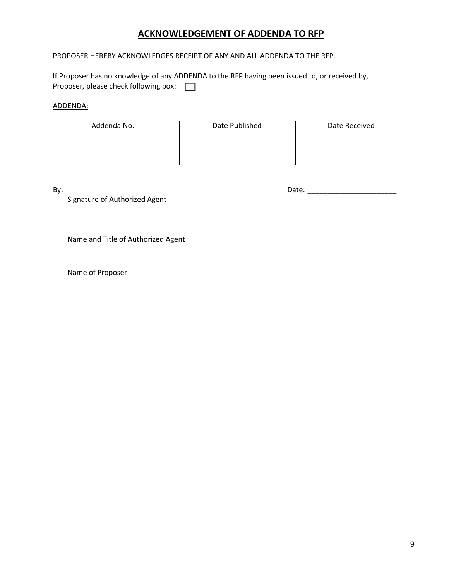### **ACKNOWLEDGEMENT OF ADDENDA TO RFP**

PROPOSER HEREBY ACKNOWLEDGES RECEIPT OF ANY AND ALL ADDENDA TO THE RFP.

If Proposer has no knowledge of any ADDENDA to the RFP having been issued to, or received by, Proposer, please check following box:

ADDENDA:

| Addenda No. | Date Published | Date Received |
|-------------|----------------|---------------|
|             |                |               |
|             |                |               |
|             |                |               |
|             |                |               |

By: Date: \_\_\_\_\_\_\_\_\_\_\_\_\_\_\_\_\_\_\_\_\_\_

Signature of Authorized Agent

Name and Title of Authorized Agent

Name of Proposer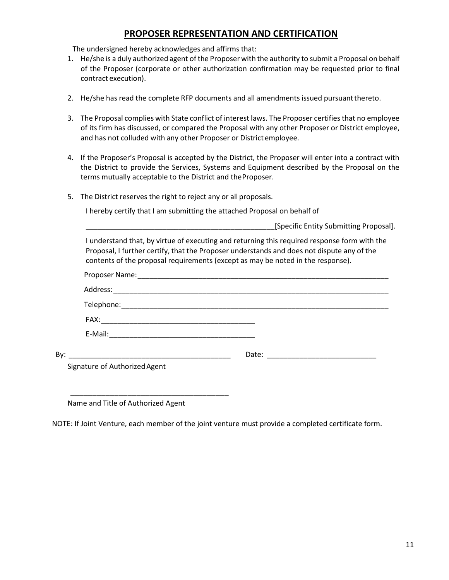### **PROPOSER REPRESENTATION AND CERTIFICATION**

The undersigned hereby acknowledges and affirms that:

- 1. He/she is a duly authorized agent of the Proposer with the authority to submit a Proposal on behalf of the Proposer (corporate or other authorization confirmation may be requested prior to final contract execution).
- 2. He/she has read the complete RFP documents and all amendments issued pursuantthereto.
- 3. The Proposal complies with State conflict of interest laws. The Proposer certifies that no employee of its firm has discussed, or compared the Proposal with any other Proposer or District employee, and has not colluded with any other Proposer or District employee.
- 4. If the Proposer's Proposal is accepted by the District, the Proposer will enter into a contract with the District to provide the Services, Systems and Equipment described by the Proposal on the terms mutually acceptable to the District and theProposer.
- 5. The District reserves the right to reject any or all proposals.

I hereby certify that I am submitting the attached Proposal on behalf of

\_\_\_\_\_\_\_\_\_\_\_\_\_\_\_\_\_\_\_\_\_\_\_\_\_\_\_\_\_\_\_\_\_\_\_\_\_\_\_\_\_\_\_\_\_\_\_[Specific Entity Submitting Proposal].

I understand that, by virtue of executing and returning this required response form with the Proposal, I further certify, that the Proposer understands and does not dispute any of the contents of the proposal requirements (except as may be noted in the response).

| By: |                               |  |
|-----|-------------------------------|--|
|     | Signature of Authorized Agent |  |
|     |                               |  |

Name and Title of Authorized Agent

\_\_\_\_\_\_\_\_\_\_\_\_\_\_\_\_\_\_\_\_\_\_\_\_\_\_\_\_\_\_\_\_\_\_\_\_

NOTE: If Joint Venture, each member of the joint venture must provide a completed certificate form.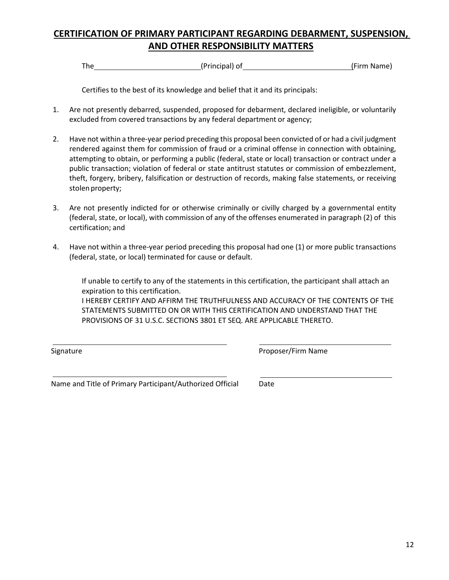## **CERTIFICATION OF PRIMARY PARTICIPANT REGARDING DEBARMENT, SUSPENSION, AND OTHER RESPONSIBILITY MATTERS**

The (Principal) of (Firm Name)

Certifies to the best of its knowledge and belief that it and its principals:

- 1. Are not presently debarred, suspended, proposed for debarment, declared ineligible, or voluntarily excluded from covered transactions by any federal department or agency;
- 2. Have not within a three-year period preceding this proposal been convicted of or had a civil judgment rendered against them for commission of fraud or a criminal offense in connection with obtaining, attempting to obtain, or performing a public (federal, state or local) transaction or contract under a public transaction; violation of federal or state antitrust statutes or commission of embezzlement, theft, forgery, bribery, falsification or destruction of records, making false statements, or receiving stolen property;
- 3. Are not presently indicted for or otherwise criminally or civilly charged by a governmental entity (federal, state, or local), with commission of any of the offenses enumerated in paragraph (2) of this certification; and
- 4. Have not within a three-year period preceding this proposal had one (1) or more public transactions (federal, state, or local) terminated for cause or default.

If unable to certify to any of the statements in this certification, the participant shall attach an expiration to this certification.

I HEREBY CERTIFY AND AFFIRM THE TRUTHFULNESS AND ACCURACY OF THE CONTENTS OF THE STATEMENTS SUBMITTED ON OR WITH THIS CERTIFICATION AND UNDERSTAND THAT THE PROVISIONS OF 31 U.S.C. SECTIONS 3801 ET SEQ. ARE APPLICABLE THERETO.

Signature **Proposer/Firm Name** 

Name and Title of Primary Participant/Authorized Official Date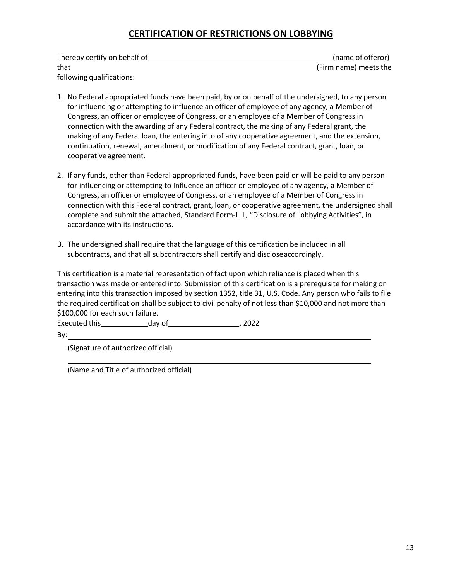### **CERTIFICATION OF RESTRICTIONS ON LOBBYING**

| I hereby certify on behalf of | (name of offeror)     |
|-------------------------------|-----------------------|
| that                          | (Firm name) meets the |
| following qualifications:     |                       |

- 1. No Federal appropriated funds have been paid, by or on behalf of the undersigned, to any person for influencing or attempting to influence an officer of employee of any agency, a Member of Congress, an officer or employee of Congress, or an employee of a Member of Congress in connection with the awarding of any Federal contract, the making of any Federal grant, the making of any Federal loan, the entering into of any cooperative agreement, and the extension, continuation, renewal, amendment, or modification of any Federal contract, grant, loan, or cooperative agreement.
- 2. If any funds, other than Federal appropriated funds, have been paid or will be paid to any person for influencing or attempting to Influence an officer or employee of any agency, a Member of Congress, an officer or employee of Congress, or an employee of a Member of Congress in connection with this Federal contract, grant, loan, or cooperative agreement, the undersigned shall complete and submit the attached, Standard Form-LLL, "Disclosure of Lobbying Activities", in accordance with its instructions.
- 3. The undersigned shall require that the language of this certification be included in all subcontracts, and that all subcontractors shall certify and discloseaccordingly.

This certification is a material representation of fact upon which reliance is placed when this transaction was made or entered into. Submission of this certification is a prerequisite for making or entering into this transaction imposed by section 1352, title 31, U.S. Code. Any person who fails to file the required certification shall be subject to civil penalty of not less than \$10,000 and not more than \$100,000 for each such failure.

Executed this day of the case of the case of  $\sim$  , 2022

By:

(Signature of authorizedofficial)

(Name and Title of authorized official)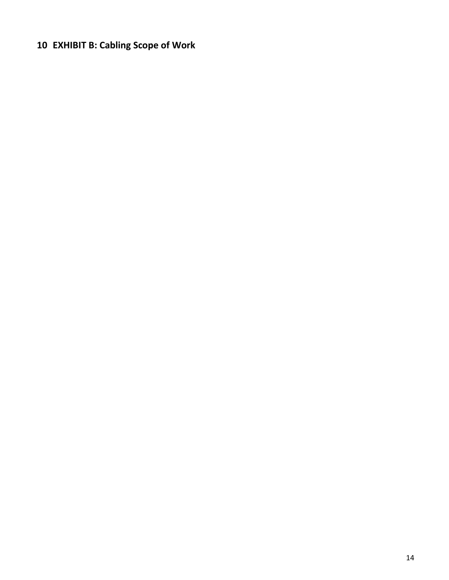# <span id="page-13-0"></span>**EXHIBIT B: Cabling Scope of Work**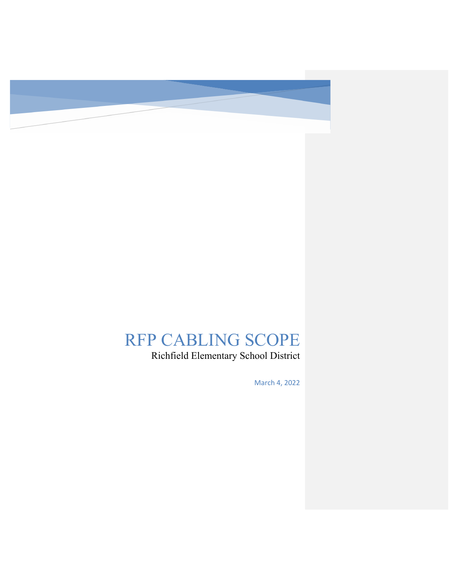

# RFP CABLING SCOPE

Richfield Elementary School District

March 4, 2022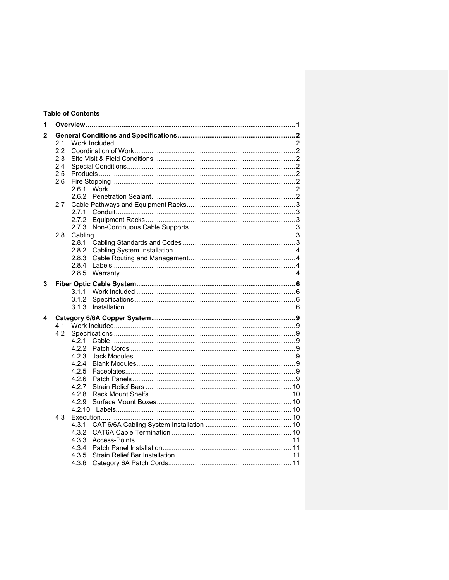### **Table of Contents**

| 1            |     |       |  |  |  |  |  |  |  |
|--------------|-----|-------|--|--|--|--|--|--|--|
| $\mathbf{2}$ |     |       |  |  |  |  |  |  |  |
|              | 2.1 |       |  |  |  |  |  |  |  |
|              | 2.2 |       |  |  |  |  |  |  |  |
|              | 2.3 |       |  |  |  |  |  |  |  |
|              | 2.4 |       |  |  |  |  |  |  |  |
|              | 2.5 |       |  |  |  |  |  |  |  |
|              | 2.6 |       |  |  |  |  |  |  |  |
|              |     | 2.6.1 |  |  |  |  |  |  |  |
|              |     |       |  |  |  |  |  |  |  |
|              | 2.7 |       |  |  |  |  |  |  |  |
|              |     | 2.7.1 |  |  |  |  |  |  |  |
|              |     | 2.7.2 |  |  |  |  |  |  |  |
|              |     | 2.7.3 |  |  |  |  |  |  |  |
|              | 2.8 |       |  |  |  |  |  |  |  |
|              |     | 2.8.1 |  |  |  |  |  |  |  |
|              |     | 2.8.2 |  |  |  |  |  |  |  |
|              |     | 2.8.3 |  |  |  |  |  |  |  |
|              |     | 2.8.4 |  |  |  |  |  |  |  |
|              |     | 2.8.5 |  |  |  |  |  |  |  |
| 3            |     |       |  |  |  |  |  |  |  |
|              |     | 3.1.1 |  |  |  |  |  |  |  |
|              |     | 3.1.2 |  |  |  |  |  |  |  |
|              |     | 3.1.3 |  |  |  |  |  |  |  |
|              |     |       |  |  |  |  |  |  |  |
| 4            |     |       |  |  |  |  |  |  |  |
|              | 4.1 |       |  |  |  |  |  |  |  |
|              | 4.2 |       |  |  |  |  |  |  |  |
|              |     | 4.2.1 |  |  |  |  |  |  |  |
|              |     | 4.2.2 |  |  |  |  |  |  |  |
|              |     | 4.2.3 |  |  |  |  |  |  |  |
|              |     | 4.2.4 |  |  |  |  |  |  |  |
|              |     | 4.2.5 |  |  |  |  |  |  |  |
|              |     | 4.2.6 |  |  |  |  |  |  |  |
|              |     | 4.2.7 |  |  |  |  |  |  |  |
|              |     | 4.2.8 |  |  |  |  |  |  |  |
|              |     | 4.2.9 |  |  |  |  |  |  |  |
|              |     |       |  |  |  |  |  |  |  |
|              | 4.3 |       |  |  |  |  |  |  |  |
|              |     | 4.3.1 |  |  |  |  |  |  |  |
|              |     | 4.3.2 |  |  |  |  |  |  |  |
|              |     | 4.3.3 |  |  |  |  |  |  |  |
|              |     | 4.3.4 |  |  |  |  |  |  |  |
|              |     | 4.3.5 |  |  |  |  |  |  |  |
|              |     | 4.3.6 |  |  |  |  |  |  |  |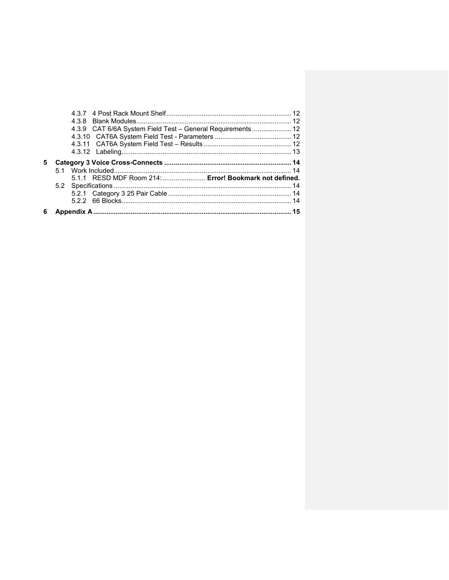|    | 5.1.1 RESD MDF Room 214:  Error! Bookmark not defined.     |  |
|----|------------------------------------------------------------|--|
| 5. |                                                            |  |
|    |                                                            |  |
|    |                                                            |  |
|    | 4.3.9 CAT 6/6A System Field Test - General Requirements 12 |  |
|    |                                                            |  |
|    |                                                            |  |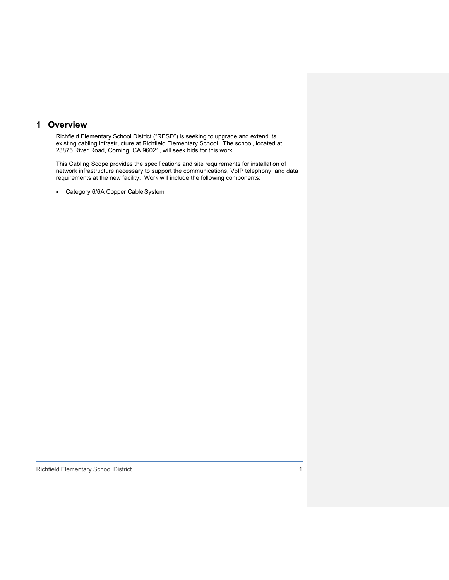### <span id="page-17-0"></span>**1 Overview**

Richfield Elementary School District ("RESD") is seeking to upgrade and extend its existing cabling infrastructure at Richfield Elementary School. The school, located at 23875 River Road, Corning, CA 96021, will seek bids for this work.

This Cabling Scope provides the specifications and site requirements for installation of network infrastructure necessary to support the communications, VoIP telephony, and data requirements at the new facility. Work will include the following components:

• Category 6/6A Copper Cable System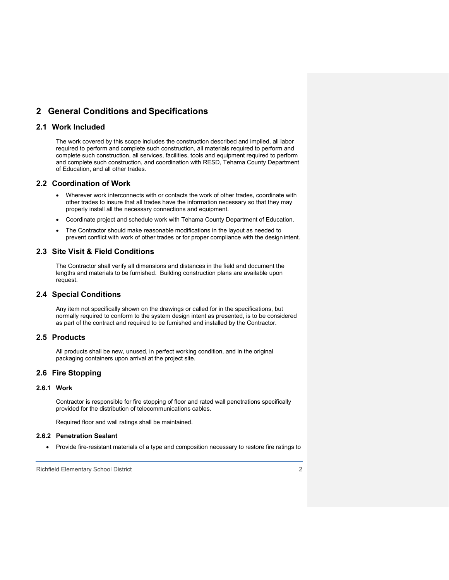### <span id="page-18-0"></span>**2 General Conditions and Specifications**

### <span id="page-18-1"></span>**2.1 Work Included**

The work covered by this scope includes the construction described and implied, all labor required to perform and complete such construction, all materials required to perform and complete such construction, all services, facilities, tools and equipment required to perform and complete such construction, and coordination with RESD, Tehama County Department of Education, and all other trades.

#### <span id="page-18-2"></span>**2.2 Coordination of Work**

- Wherever work interconnects with or contacts the work of other trades, coordinate with other trades to insure that all trades have the information necessary so that they may properly install all the necessary connections and equipment.
- Coordinate project and schedule work with Tehama County Department of Education.
- The Contractor should make reasonable modifications in the layout as needed to prevent conflict with work of other trades or for proper compliance with the design intent.

### <span id="page-18-3"></span>**2.3 Site Visit & Field Conditions**

The Contractor shall verify all dimensions and distances in the field and document the lengths and materials to be furnished. Building construction plans are available upon request.

### <span id="page-18-4"></span>**2.4 Special Conditions**

Any item not specifically shown on the drawings or called for in the specifications, but normally required to conform to the system design intent as presented, is to be considered as part of the contract and required to be furnished and installed by the Contractor.

### <span id="page-18-5"></span>**2.5 Products**

All products shall be new, unused, in perfect working condition, and in the original packaging containers upon arrival at the project site.

### <span id="page-18-6"></span>**2.6 Fire Stopping**

### <span id="page-18-7"></span>**2.6.1 Work**

Contractor is responsible for fire stopping of floor and rated wall penetrations specifically provided for the distribution of telecommunications cables.

Required floor and wall ratings shall be maintained.

#### <span id="page-18-8"></span>**2.6.2 Penetration Sealant**

• Provide fire-resistant materials of a type and composition necessary to restore fire ratings to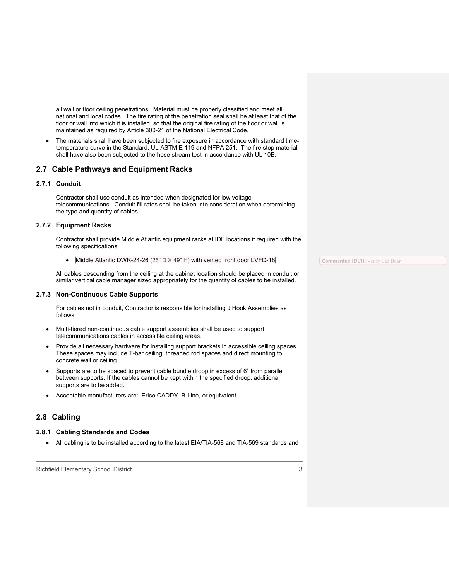all wall or floor ceiling penetrations. Material must be properly classified and meet all national and local codes. The fire rating of the penetration seal shall be at least that of the floor or wall into which it is installed, so that the original fire rating of the floor or wall is maintained as required by Article 300-21 of the National Electrical Code.

• The materials shall have been subjected to fire exposure in accordance with standard timetemperature curve in the Standard, UL ASTM E 119 and NFPA 251. The fire stop material shall have also been subjected to the hose stream test in accordance with UL 10B.

#### <span id="page-19-0"></span>**2.7 Cable Pathways and Equipment Racks**

#### <span id="page-19-1"></span>**2.7.1 Conduit**

Contractor shall use conduit as intended when designated for low voltage telecommunications. Conduit fill rates shall be taken into consideration when determining the type and quantity of cables.

#### <span id="page-19-2"></span>**2.7.2 Equipment Racks**

Contractor shall provide Middle Atlantic equipment racks at IDF locations if required with the following specifications:

• Middle Atlantic DWR-24-26 (26" D  $\times$  49" H) with vented front door LVFD-18

All cables descending from the ceiling at the cabinet location should be placed in conduit or similar vertical cable manager sized appropriately for the quantity of cables to be installed.

#### <span id="page-19-3"></span>**2.7.3 Non-Continuous Cable Supports**

For cables not in conduit, Contractor is responsible for installing J Hook Assemblies as follows:

- Multi-tiered non-continuous cable support assemblies shall be used to support telecommunications cables in accessible ceiling areas.
- Provide all necessary hardware for installing support brackets in accessible ceiling spaces. These spaces may include T-bar ceiling, threaded rod spaces and direct mounting to concrete wall or ceiling.
- Supports are to be spaced to prevent cable bundle droop in excess of 6" from parallel between supports. If the cables cannot be kept within the specified droop, additional supports are to be added.
- Acceptable manufacturers are: Erico CADDY, B-Line, or equivalent.

#### <span id="page-19-4"></span>**2.8 Cabling**

#### <span id="page-19-5"></span>**2.8.1 Cabling Standards and Codes**

• All cabling is to be installed according to the latest EIA/TIA-568 and TIA-569 standards and

**Commented [DL1]:** Verify Cab Door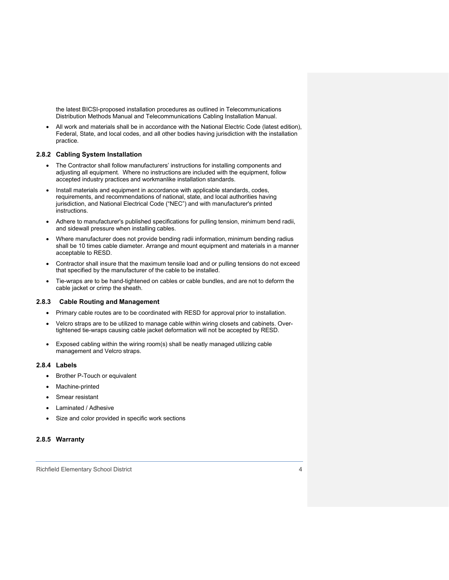the latest BICSI-proposed installation procedures as outlined in Telecommunications Distribution Methods Manual and Telecommunications Cabling Installation Manual.

• All work and materials shall be in accordance with the National Electric Code (latest edition), Federal, State, and local codes, and all other bodies having jurisdiction with the installation practice.

#### <span id="page-20-0"></span>**2.8.2 Cabling System Installation**

- The Contractor shall follow manufacturers' instructions for installing components and adjusting all equipment. Where no instructions are included with the equipment, follow accepted industry practices and workmanlike installation standards.
- Install materials and equipment in accordance with applicable standards, codes, requirements, and recommendations of national, state, and local authorities having jurisdiction, and National Electrical Code ("NEC") and with manufacturer's printed instructions.
- Adhere to manufacturer's published specifications for pulling tension, minimum bend radii, and sidewall pressure when installing cables.
- Where manufacturer does not provide bending radii information, minimum bending radius shall be 10 times cable diameter. Arrange and mount equipment and materials in a manner acceptable to RESD.
- Contractor shall insure that the maximum tensile load and or pulling tensions do not exceed that specified by the manufacturer of the cable to be installed.
- Tie-wraps are to be hand-tightened on cables or cable bundles, and are not to deform the cable jacket or crimp the sheath.

#### **2.8.3 Cable Routing and Management**

- <span id="page-20-1"></span>• Primary cable routes are to be coordinated with RESD for approval prior to installation.
- Velcro straps are to be utilized to manage cable within wiring closets and cabinets. Overtightened tie-wraps causing cable jacket deformation will not be accepted by RESD.
- Exposed cabling within the wiring room(s) shall be neatly managed utilizing cable management and Velcro straps.

#### <span id="page-20-2"></span>**2.8.4 Labels**

- Brother P-Touch or equivalent
- Machine-printed
- Smear resistant
- Laminated / Adhesive
- Size and color provided in specific work sections

#### <span id="page-20-3"></span>**2.8.5 Warranty**

Richfield Elementary School District 4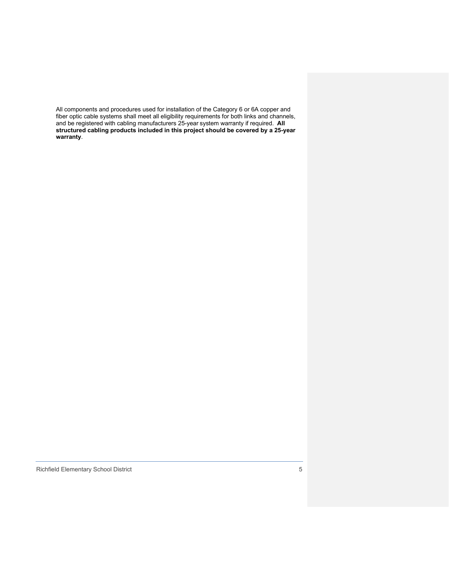All components and procedures used for installation of the Category 6 or 6A copper and fiber optic cable systems shall meet all eligibility requirements for both links and channels, and be registered with cabling manufacturers 25-year system warranty if required. **All structured cabling products included in this project should be covered by a 25-year warranty**.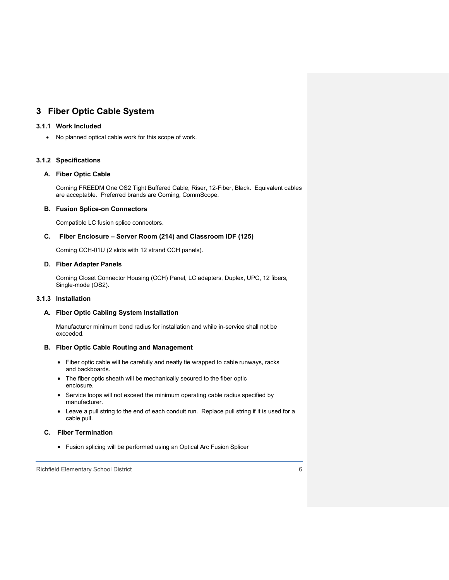### <span id="page-22-0"></span>**3 Fiber Optic Cable System**

### <span id="page-22-1"></span>**3.1.1 Work Included**

• No planned optical cable work for this scope of work.

### <span id="page-22-2"></span>**3.1.2 Specifications**

### **A. Fiber Optic Cable**

Corning FREEDM One OS2 Tight Buffered Cable, Riser, 12-Fiber, Black. Equivalent cables are acceptable. Preferred brands are Corning, CommScope.

#### **B. Fusion Splice-on Connectors**

Compatible LC fusion splice connectors.

#### **C. Fiber Enclosure – Server Room (214) and Classroom IDF (125)**

Corning CCH-01U (2 slots with 12 strand CCH panels).

#### **D. Fiber Adapter Panels**

Corning Closet Connector Housing (CCH) Panel, LC adapters, Duplex, UPC, 12 fibers, Single-mode (OS2).

### <span id="page-22-3"></span>**3.1.3 Installation**

#### **A. Fiber Optic Cabling System Installation**

Manufacturer minimum bend radius for installation and while in-service shall not be exceeded.

#### **B. Fiber Optic Cable Routing and Management**

- Fiber optic cable will be carefully and neatly tie wrapped to cable runways, racks and backboards.
- The fiber optic sheath will be mechanically secured to the fiber optic enclosure.
- Service loops will not exceed the minimum operating cable radius specified by manufacturer.
- Leave a pull string to the end of each conduit run. Replace pull string if it is used for a cable pull.

### **C. Fiber Termination**

• Fusion splicing will be performed using an Optical Arc Fusion Splicer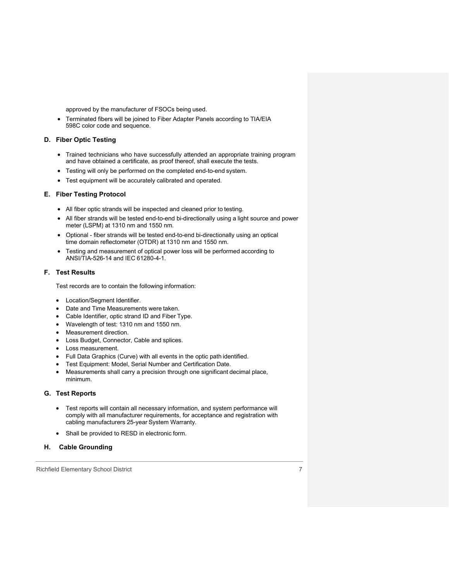approved by the manufacturer of FSOCs being used.

• Terminated fibers will be joined to Fiber Adapter Panels according to TIA/EIA 598C color code and sequence.

#### **D. Fiber Optic Testing**

- Trained technicians who have successfully attended an appropriate training program and have obtained a certificate, as proof thereof, shall execute the tests.
- Testing will only be performed on the completed end-to-end system.
- Test equipment will be accurately calibrated and operated.

#### **E. Fiber Testing Protocol**

- All fiber optic strands will be inspected and cleaned prior to testing.
- All fiber strands will be tested end-to-end bi-directionally using a light source and power meter (LSPM) at 1310 nm and 1550 nm.
- Optional fiber strands will be tested end-to-end bi-directionally using an optical time domain reflectometer (OTDR) at 1310 nm and 1550 nm.
- Testing and measurement of optical power loss will be performed according to ANSI/TIA-526-14 and IEC 61280-4-1.

### **F. Test Results**

Test records are to contain the following information:

- Location/Segment Identifier.
- Date and Time Measurements were taken.
- Cable Identifier, optic strand ID and Fiber Type.
- Wavelength of test: 1310 nm and 1550 nm.
- Measurement direction.
- Loss Budget, Connector, Cable and splices.
- Loss measurement.
- Full Data Graphics (Curve) with all events in the optic path identified.
- Test Equipment: Model, Serial Number and Certification Date.
- Measurements shall carry a precision through one significant decimal place, minimum.

#### **G. Test Reports**

- Test reports will contain all necessary information, and system performance will comply with all manufacturer requirements, for acceptance and registration with cabling manufacturers 25-year System Warranty.
- Shall be provided to RESD in electronic form.

#### **H. Cable Grounding**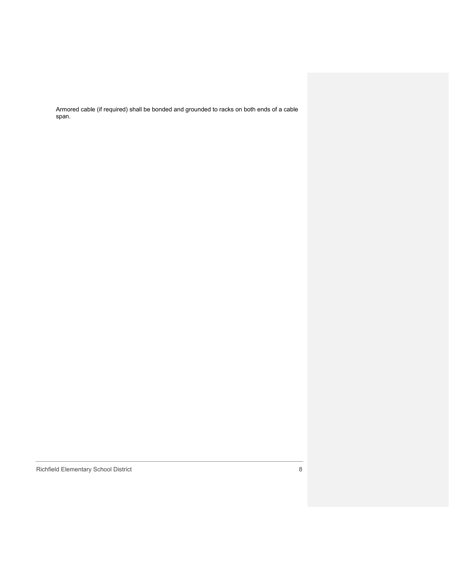Armored cable (if required) shall be bonded and grounded to racks on both ends of a cable span.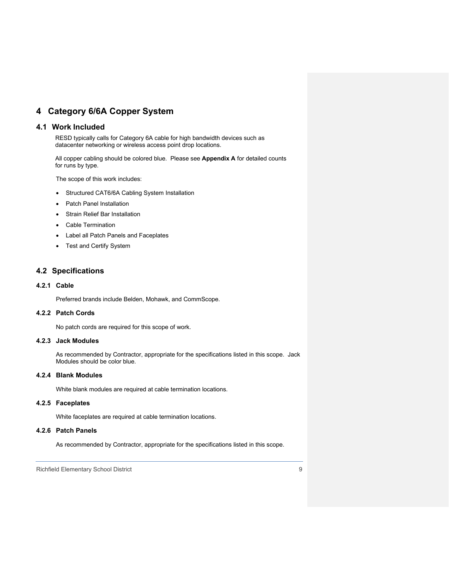### <span id="page-25-0"></span>**4 Category 6/6A Copper System**

### <span id="page-25-1"></span>**4.1 Work Included**

RESD typically calls for Category 6A cable for high bandwidth devices such as datacenter networking or wireless access point drop locations.

All copper cabling should be colored blue. Please see **Appendix A** for detailed counts for runs by type.

The scope of this work includes:

- Structured CAT6/6A Cabling System Installation
- Patch Panel Installation
- Strain Relief Bar Installation
- Cable Termination
- Label all Patch Panels and Faceplates
- Test and Certify System

### <span id="page-25-2"></span>**4.2 Specifications**

#### <span id="page-25-3"></span>**4.2.1 Cable**

Preferred brands include Belden, Mohawk, and CommScope.

### <span id="page-25-4"></span>**4.2.2 Patch Cords**

No patch cords are required for this scope of work.

### <span id="page-25-5"></span>**4.2.3 Jack Modules**

As recommended by Contractor, appropriate for the specifications listed in this scope. Jack Modules should be color blue.

#### <span id="page-25-6"></span>**4.2.4 Blank Modules**

White blank modules are required at cable termination locations.

### <span id="page-25-7"></span>**4.2.5 Faceplates**

White faceplates are required at cable termination locations.

#### <span id="page-25-8"></span>**4.2.6 Patch Panels**

As recommended by Contractor, appropriate for the specifications listed in this scope.

Richfield Elementary School District 9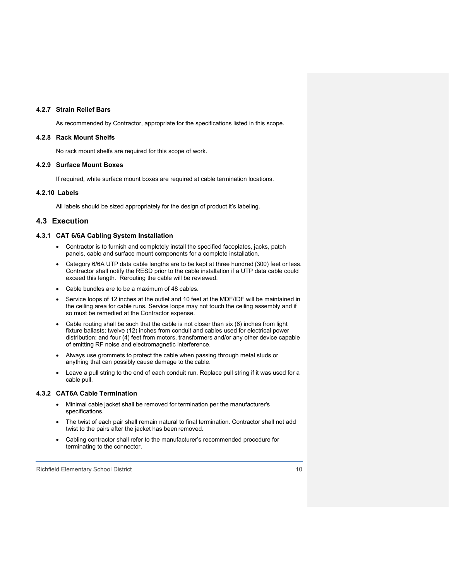#### <span id="page-26-0"></span>**4.2.7 Strain Relief Bars**

As recommended by Contractor, appropriate for the specifications listed in this scope.

#### <span id="page-26-1"></span>**4.2.8 Rack Mount Shelfs**

No rack mount shelfs are required for this scope of work.

#### <span id="page-26-2"></span>**4.2.9 Surface Mount Boxes**

<span id="page-26-3"></span>If required, white surface mount boxes are required at cable termination locations.

#### **4.2.10 Labels**

All labels should be sized appropriately for the design of product it's labeling.

#### <span id="page-26-4"></span>**4.3 Execution**

#### <span id="page-26-5"></span>**4.3.1 CAT 6/6A Cabling System Installation**

- Contractor is to furnish and completely install the specified faceplates, jacks, patch panels, cable and surface mount components for a complete installation.
- Category 6/6A UTP data cable lengths are to be kept at three hundred (300) feet or less. Contractor shall notify the RESD prior to the cable installation if a UTP data cable could exceed this length. Rerouting the cable will be reviewed.
- Cable bundles are to be a maximum of 48 cables.
- Service loops of 12 inches at the outlet and 10 feet at the MDF/IDF will be maintained in the ceiling area for cable runs. Service loops may not touch the ceiling assembly and if so must be remedied at the Contractor expense.
- Cable routing shall be such that the cable is not closer than six (6) inches from light fixture ballasts; twelve (12) inches from conduit and cables used for electrical power distribution; and four (4) feet from motors, transformers and/or any other device capable of emitting RF noise and electromagnetic interference.
- Always use grommets to protect the cable when passing through metal studs or anything that can possibly cause damage to the cable.
- Leave a pull string to the end of each conduit run. Replace pull string if it was used for a cable pull.

#### <span id="page-26-6"></span>**4.3.2 CAT6A Cable Termination**

- Minimal cable jacket shall be removed for termination per the manufacturer's specifications.
- The twist of each pair shall remain natural to final termination. Contractor shall not add twist to the pairs after the jacket has been removed.
- Cabling contractor shall refer to the manufacturer's recommended procedure for terminating to the connector.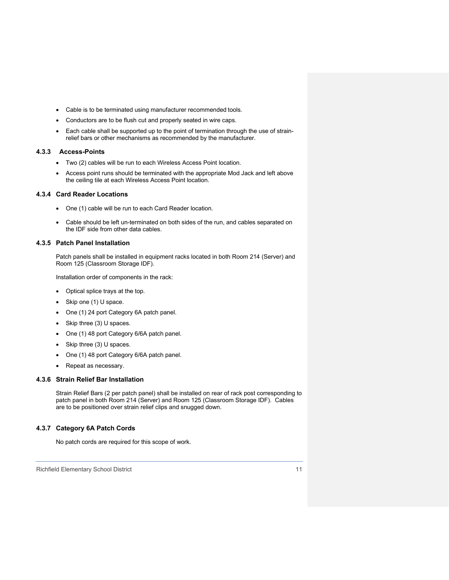- Cable is to be terminated using manufacturer recommended tools.
- Conductors are to be flush cut and properly seated in wire caps.
- <span id="page-27-0"></span>• Each cable shall be supported up to the point of termination through the use of strainrelief bars or other mechanisms as recommended by the manufacturer.

#### **4.3.3 Access-Points**

- Two (2) cables will be run to each Wireless Access Point location.
- Access point runs should be terminated with the appropriate Mod Jack and left above the ceiling tile at each Wireless Access Point location.

#### **4.3.4 Card Reader Locations**

- One (1) cable will be run to each Card Reader location.
- Cable should be left un-terminated on both sides of the run, and cables separated on the IDF side from other data cables.

#### <span id="page-27-1"></span>**4.3.5 Patch Panel Installation**

Patch panels shall be installed in equipment racks located in both Room 214 (Server) and Room 125 (Classroom Storage IDF).

Installation order of components in the rack:

- Optical splice trays at the top.
- Skip one (1) U space.
- One (1) 24 port Category 6A patch panel.
- Skip three (3) U spaces.
- One (1) 48 port Category 6/6A patch panel.
- Skip three (3) U spaces.
- One (1) 48 port Category 6/6A patch panel.
- Repeat as necessary.

#### <span id="page-27-2"></span>**4.3.6 Strain Relief Bar Installation**

Strain Relief Bars (2 per patch panel) shall be installed on rear of rack post corresponding to patch panel in both Room 214 (Server) and Room 125 (Classroom Storage IDF). Cables are to be positioned over strain relief clips and snugged down.

#### <span id="page-27-3"></span>**4.3.7 Category 6A Patch Cords**

No patch cords are required for this scope of work.

Richfield Elementary School District 11 and 2008 12 and 2009 12 and 2009 12 and 2009 12 and 2009 12 and 2009 1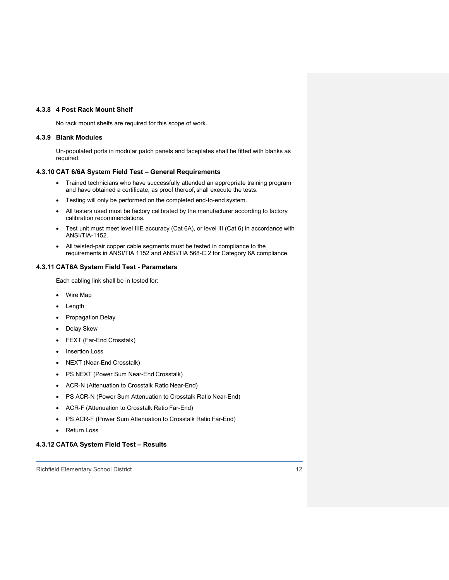#### <span id="page-28-0"></span>**4.3.8 4 Post Rack Mount Shelf**

No rack mount shelfs are required for this scope of work.

#### <span id="page-28-1"></span>**4.3.9 Blank Modules**

Un-populated ports in modular patch panels and faceplates shall be fitted with blanks as required.

#### <span id="page-28-2"></span>**4.3.10 CAT 6/6A System Field Test – General Requirements**

- Trained technicians who have successfully attended an appropriate training program and have obtained a certificate, as proof thereof, shall execute the tests.
- Testing will only be performed on the completed end-to-end system.
- All testers used must be factory calibrated by the manufacturer according to factory calibration recommendations.
- Test unit must meet level IIIE accuracy (Cat 6A), or level III (Cat 6) in accordance with ANSI/TIA-1152.
- All twisted-pair copper cable segments must be tested in compliance to the requirements in ANSI/TIA 1152 and ANSI/TIA 568-C.2 for Category 6A compliance.

#### <span id="page-28-3"></span>**4.3.11 CAT6A System Field Test - Parameters**

Each cabling link shall be in tested for:

- Wire Map
- Length
- Propagation Delay
- Delay Skew
- FEXT (Far-End Crosstalk)
- Insertion Loss
- NEXT (Near-End Crosstalk)
- PS NEXT (Power Sum Near-End Crosstalk)
- ACR-N (Attenuation to Crosstalk Ratio Near-End)
- PS ACR-N (Power Sum Attenuation to Crosstalk Ratio Near-End)
- ACR-F (Attenuation to Crosstalk Ratio Far-End)
- PS ACR-F (Power Sum Attenuation to Crosstalk Ratio Far-End)
- Return Loss

#### <span id="page-28-4"></span>**4.3.12 CAT6A System Field Test – Results**

Richfield Elementary School District 12 and 2008 12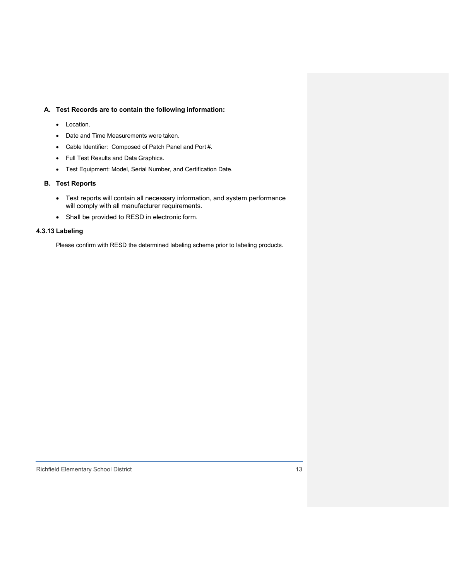#### **A. Test Records are to contain the following information:**

- Location.
- Date and Time Measurements were taken.
- Cable Identifier: Composed of Patch Panel and Port #.
- Full Test Results and Data Graphics.
- Test Equipment: Model, Serial Number, and Certification Date.

### **B. Test Reports**

- Test reports will contain all necessary information, and system performance will comply with all manufacturer requirements.
- Shall be provided to RESD in electronic form.

### <span id="page-29-0"></span>**4.3.13 Labeling**

Please confirm with RESD the determined labeling scheme prior to labeling products.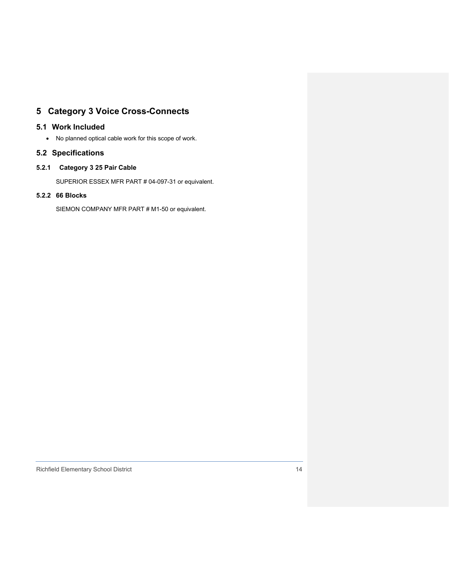### <span id="page-30-0"></span>**5 Category 3 Voice Cross-Connects**

### <span id="page-30-1"></span>**5.1 Work Included**

• No planned optical cable work for this scope of work.

### <span id="page-30-2"></span>**5.2 Specifications**

### **5.2.1 Category 3 25 Pair Cable**

<span id="page-30-3"></span>SUPERIOR ESSEX MFR PART # 04-097-31 or equivalent.

### <span id="page-30-4"></span>**5.2.2 66 Blocks**

SIEMON COMPANY MFR PART # M1-50 or equivalent.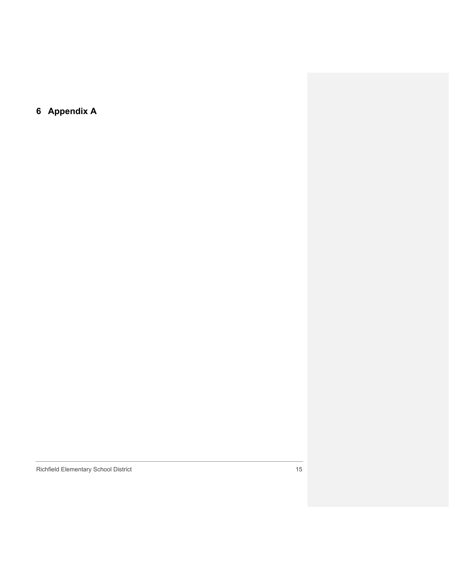<span id="page-31-0"></span>**6 Appendix A**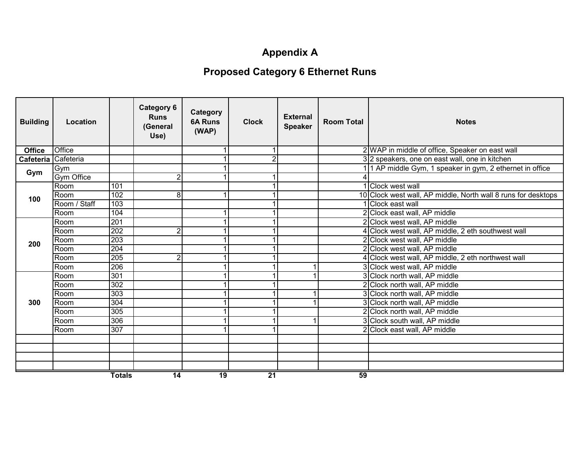# **Appendix A**

# **Proposed Category 6 Ethernet Runs**

| <b>Building</b>     | Location          |               | <b>Category 6</b><br><b>Runs</b><br>(General<br>Use) | Category<br><b>6A Runs</b><br>(WAP) | <b>Clock</b>    | <b>External</b><br><b>Speaker</b> | <b>Room Total</b> | <b>Notes</b>                                                  |
|---------------------|-------------------|---------------|------------------------------------------------------|-------------------------------------|-----------------|-----------------------------------|-------------------|---------------------------------------------------------------|
| <b>Office</b>       | Office            |               |                                                      |                                     |                 |                                   |                   | 2 WAP in middle of office, Speaker on east wall               |
| Cafeteria Cafeteria |                   |               |                                                      |                                     |                 |                                   |                   | 3 2 speakers, one on east wall, one in kitchen                |
| Gym                 | Gym               |               |                                                      | 1                                   |                 |                                   |                   | 1 1 AP middle Gym, 1 speaker in gym, 2 ethernet in office     |
|                     | <b>Gym Office</b> |               | $\overline{2}$                                       |                                     |                 |                                   |                   |                                                               |
|                     | Room              | 101           |                                                      |                                     |                 |                                   |                   | 1 Clock west wall                                             |
| 100                 | Room              | 102           | 8                                                    | 1                                   |                 |                                   |                   | 10 Clock west wall, AP middle, North wall 8 runs for desktops |
|                     | Room / Staff      | 103           |                                                      |                                     |                 |                                   |                   | 1 Clock east wall                                             |
|                     | Room              | 104           |                                                      | 1                                   |                 |                                   |                   | 2 Clock east wall, AP middle                                  |
|                     | Room              | 201           |                                                      | 1                                   |                 |                                   |                   | 2 Clock west wall, AP middle                                  |
|                     | Room              | 202           | $\overline{2}$                                       | 1                                   |                 |                                   |                   | 4 Clock west wall, AP middle, 2 eth southwest wall            |
| 200                 | Room              | 203           |                                                      | 1                                   |                 |                                   |                   | 2 Clock west wall, AP middle                                  |
|                     | Room              | 204           |                                                      |                                     |                 |                                   |                   | 2 Clock west wall, AP middle                                  |
|                     | Room              | 205           | $\overline{2}$                                       | 1                                   |                 |                                   |                   | 4 Clock west wall, AP middle, 2 eth northwest wall            |
|                     | Room              | 206           |                                                      | 1                                   |                 |                                   |                   | 3 Clock west wall, AP middle                                  |
|                     | Room              | 301           |                                                      | 1                                   |                 |                                   |                   | 3 Clock north wall, AP middle                                 |
|                     | Room              | 302           |                                                      |                                     |                 |                                   |                   | 2 Clock north wall, AP middle                                 |
|                     | Room              | 303           |                                                      | 1                                   |                 |                                   |                   | 3 Clock north wall, AP middle                                 |
| 300                 | Room              | 304           |                                                      |                                     |                 |                                   |                   | 3 Clock north wall, AP middle                                 |
|                     | Room              | 305           |                                                      | 1                                   |                 |                                   |                   | 2 Clock north wall, AP middle                                 |
|                     | Room              | 306           |                                                      | 1                                   |                 |                                   |                   | 3 Clock south wall, AP middle                                 |
|                     | Room              | 307           |                                                      |                                     |                 |                                   |                   | 2 Clock east wall, AP middle                                  |
|                     |                   |               |                                                      |                                     |                 |                                   |                   |                                                               |
|                     |                   |               |                                                      |                                     |                 |                                   |                   |                                                               |
|                     |                   |               |                                                      |                                     |                 |                                   |                   |                                                               |
|                     |                   |               |                                                      |                                     |                 |                                   |                   |                                                               |
|                     |                   | <b>Totals</b> | $\overline{14}$                                      | $\overline{19}$                     | $\overline{21}$ |                                   | 59                |                                                               |